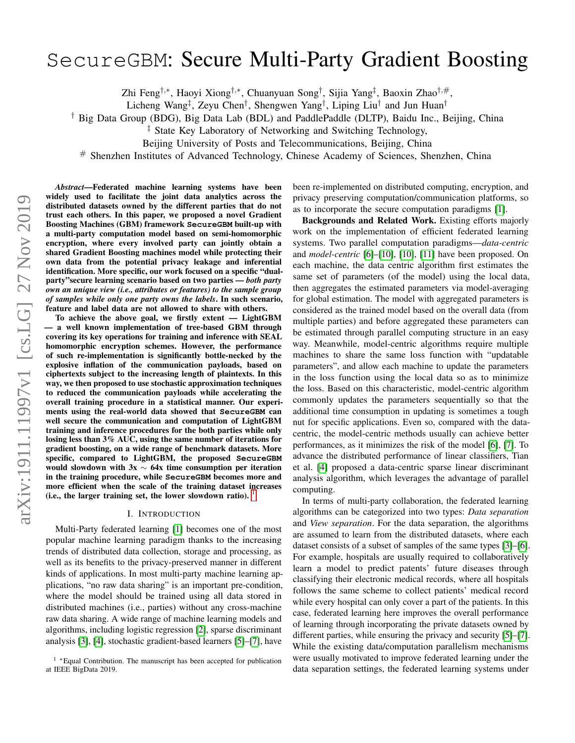# SecureGBM: Secure Multi-Party Gradient Boosting

Zhi Feng†,<sup>∗</sup> , Haoyi Xiong†,<sup>∗</sup> , Chuanyuan Song† , Sijia Yang‡ , Baoxin Zhao†,#,

Licheng Wang<sup>‡</sup>, Zeyu Chen<sup>†</sup>, Shengwen Yang<sup>†</sup>, Liping Liu<sup>†</sup> and Jun Huan<sup>†</sup>

† Big Data Group (BDG), Big Data Lab (BDL) and PaddlePaddle (DLTP), Baidu Inc., Beijing, China

‡ State Key Laboratory of Networking and Switching Technology,

Beijing University of Posts and Telecommunications, Beijing, China

# Shenzhen Institutes of Advanced Technology, Chinese Academy of Sciences, Shenzhen, China

*Abstract*—Federated machine learning systems have been widely used to facilitate the joint data analytics across the distributed datasets owned by the different parties that do not trust each others. In this paper, we proposed a novel Gradient Boosting Machines (GBM) framework **SecureGBM** built-up with a multi-party computation model based on semi-homomorphic encryption, where every involved party can jointly obtain a shared Gradient Boosting machines model while protecting their own data from the potential privacy leakage and inferential identification. More specific, our work focused on a specific "dualparty"secure learning scenario based on two parties — *both party own an unique view (i.e., attributes or features) to the sample group of samples while only one party owns the labels*. In such scenario, feature and label data are not allowed to share with others.

To achieve the above goal, we firstly extent — LightGBM — a well known implementation of tree-based GBM through covering its key operations for training and inference with SEAL homomorphic encryption schemes. However, the performance of such re-implementation is significantly bottle-necked by the explosive inflation of the communication payloads, based on ciphertexts subject to the increasing length of plaintexts. In this way, we then proposed to use stochastic approximation techniques to reduced the communication payloads while accelerating the overall training procedure in a statistical manner. Our experiments using the real-world data showed that **SecureGBM** can well secure the communication and computation of LightGBM training and inference procedures for the both parties while only losing less than 3% AUC, using the same number of iterations for gradient boosting, on a wide range of benchmark datasets. More specific, compared to LightGBM, the proposed **SecureGBM** would slowdown with  $3x \sim 64x$  time consumption per iteration in the training procedure, while **SecureGBM** becomes more and more efficient when the scale of the training dataset increases (i.e., the larger training set, the lower slowdown ratio). [1](#page-0-0)

#### I. INTRODUCTION

Multi-Party federated learning [\[1\]](#page-9-0) becomes one of the most popular machine learning paradigm thanks to the increasing trends of distributed data collection, storage and processing, as well as its benefits to the privacy-preserved manner in different kinds of applications. In most multi-party machine learning applications, "no raw data sharing" is an important pre-condition, where the model should be trained using all data stored in distributed machines (i.e., parties) without any cross-machine raw data sharing. A wide range of machine learning models and algorithms, including logistic regression [\[2\]](#page-9-1), sparse discriminant analysis [\[3\]](#page-9-2), [\[4\]](#page-9-3), stochastic gradient-based learners [\[5\]](#page-9-4)–[\[7\]](#page-9-5), have

been re-implemented on distributed computing, encryption, and privacy preserving computation/communication platforms, so as to incorporate the secure computation paradigms [\[1\]](#page-9-0).

Backgrounds and Related Work. Existing efforts majorly work on the implementation of efficient federated learning systems. Two parallel computation paradigms—*data-centric* and *model-centric* [\[6\]](#page-9-6)–[\[10\]](#page-9-7), [\[10\]](#page-9-7), [\[11\]](#page-9-8) have been proposed. On each machine, the data centric algorithm first estimates the same set of parameters (of the model) using the local data, then aggregates the estimated parameters via model-averaging for global estimation. The model with aggregated parameters is considered as the trained model based on the overall data (from multiple parties) and before aggregated these parameters can be estimated through parallel computing structure in an easy way. Meanwhile, model-centric algorithms require multiple machines to share the same loss function with "updatable parameters", and allow each machine to update the parameters in the loss function using the local data so as to minimize the loss. Based on this characteristic, model-centric algorithm commonly updates the parameters sequentially so that the additional time consumption in updating is sometimes a tough nut for specific applications. Even so, compared with the datacentric, the model-centric methods usually can achieve better performances, as it minimizes the risk of the model [\[6\]](#page-9-6), [\[7\]](#page-9-5). To advance the distributed performance of linear classifiers, Tian et al. [\[4\]](#page-9-3) proposed a data-centric sparse linear discriminant analysis algorithm, which leverages the advantage of parallel computing.

In terms of multi-party collaboration, the federated learning algorithms can be categorized into two types: *Data separation* and *View separation*. For the data separation, the algorithms are assumed to learn from the distributed datasets, where each dataset consists of a subset of samples of the same types [\[3\]](#page-9-2)–[\[6\]](#page-9-6). For example, hospitals are usually required to collaboratively learn a model to predict patents' future diseases through classifying their electronic medical records, where all hospitals follows the same scheme to collect patients' medical record while every hospital can only cover a part of the patients. In this case, federated learning here improves the overall performance of learning through incorporating the private datasets owned by different parties, while ensuring the privacy and security [\[5\]](#page-9-4)–[\[7\]](#page-9-5). While the existing data/computation parallelism mechanisms were usually motivated to improve federated learning under the data separation settings, the federated learning systems under

<span id="page-0-0"></span><sup>1</sup> <sup>∗</sup>Equal Contribution. The manuscript has been accepted for publication at IEEE BigData 2019.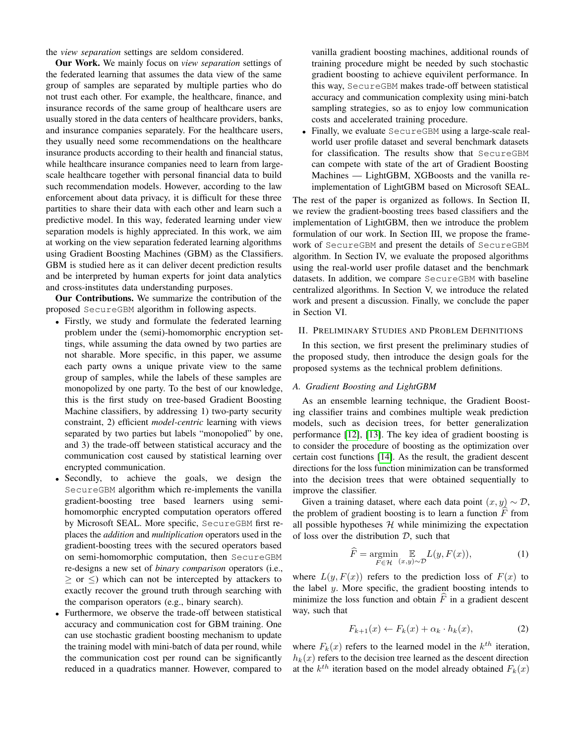the *view separation* settings are seldom considered.

Our Work. We mainly focus on *view separation* settings of the federated learning that assumes the data view of the same group of samples are separated by multiple parties who do not trust each other. For example, the healthcare, finance, and insurance records of the same group of healthcare users are usually stored in the data centers of healthcare providers, banks, and insurance companies separately. For the healthcare users, they usually need some recommendations on the healthcare insurance products according to their health and financial status, while healthcare insurance companies need to learn from largescale healthcare together with personal financial data to build such recommendation models. However, according to the law enforcement about data privacy, it is difficult for these three partities to share their data with each other and learn such a predictive model. In this way, federated learning under view separation models is highly appreciated. In this work, we aim at working on the view separation federated learning algorithms using Gradient Boosting Machines (GBM) as the Classifiers. GBM is studied here as it can deliver decent prediction results and be interpreted by human experts for joint data analytics and cross-institutes data understanding purposes.

Our Contributions. We summarize the contribution of the proposed SecureGBM algorithm in following aspects.

- Firstly, we study and formulate the federated learning problem under the (semi)-homomorphic encryption settings, while assuming the data owned by two parties are not sharable. More specific, in this paper, we assume each party owns a unique private view to the same group of samples, while the labels of these samples are monopolized by one party. To the best of our knowledge, this is the first study on tree-based Gradient Boosting Machine classifiers, by addressing 1) two-party security constraint, 2) efficient *model-centric* learning with views separated by two parties but labels "monopolied" by one, and 3) the trade-off between statistical accuracy and the communication cost caused by statistical learning over encrypted communication.
- Secondly, to achieve the goals, we design the SecureGBM algorithm which re-implements the vanilla gradient-boosting tree based learners using semihomomorphic encrypted computation operators offered by Microsoft SEAL. More specific, SecureGBM first replaces the *addition* and *multiplication* operators used in the gradient-boosting trees with the secured operators based on semi-homomorphic computation, then SecureGBM re-designs a new set of *binary comparison* operators (i.e.,  $\geq$  or  $\leq$ ) which can not be intercepted by attackers to exactly recover the ground truth through searching with the comparison operators (e.g., binary search).
- Furthermore, we observe the trade-off between statistical accuracy and communication cost for GBM training. One can use stochastic gradient boosting mechanism to update the training model with mini-batch of data per round, while the communication cost per round can be significantly reduced in a quadratics manner. However, compared to

vanilla gradient boosting machines, additional rounds of training procedure might be needed by such stochastic gradient boosting to achieve equivilent performance. In this way, SecureGBM makes trade-off between statistical accuracy and communication complexity using mini-batch sampling strategies, so as to enjoy low communication costs and accelerated training procedure.

• Finally, we evaluate SecureGBM using a large-scale realworld user profile dataset and several benchmark datasets for classification. The results show that SecureGBM can compete with state of the art of Gradient Boosting Machines — LightGBM, XGBoosts and the vanilla reimplementation of LightGBM based on Microsoft SEAL.

The rest of the paper is organized as follows. In Section II, we review the gradient-boosting trees based classifiers and the implementation of LightGBM, then we introduce the problem formulation of our work. In Section III, we propose the framework of SecureGBM and present the details of SecureGBM algorithm. In Section IV, we evaluate the proposed algorithms using the real-world user profile dataset and the benchmark datasets. In addition, we compare SecureGBM with baseline centralized algorithms. In Section V, we introduce the related work and present a discussion. Finally, we conclude the paper in Section VI.

# II. PRELIMINARY STUDIES AND PROBLEM DEFINITIONS

In this section, we first present the preliminary studies of the proposed study, then introduce the design goals for the proposed systems as the technical problem definitions.

## *A. Gradient Boosting and LightGBM*

As an ensemble learning technique, the Gradient Boosting classifier trains and combines multiple weak prediction models, such as decision trees, for better generalization performance [\[12\]](#page-9-9), [\[13\]](#page-9-10). The key idea of gradient boosting is to consider the procedure of boosting as the optimization over certain cost functions [\[14\]](#page-9-11). As the result, the gradient descent directions for the loss function minimization can be transformed into the decision trees that were obtained sequentially to improve the classifier.

Given a training dataset, where each data point  $(x, y) \sim \mathcal{D}$ , the problem of gradient boosting is to learn a function  $F$  from all possible hypotheses  $H$  while minimizing the expectation of loss over the distribution  $D$ , such that

$$
\widehat{F} = \underset{F \in \mathcal{H}}{\operatorname{argmin}} \mathop{\mathbb{E}}_{(x,y) \sim \mathcal{D}} L(y, F(x)),\tag{1}
$$

where  $L(y, F(x))$  refers to the prediction loss of  $F(x)$  to the label  $y$ . More specific, the gradient boosting intends to minimize the loss function and obtain  $\widehat{F}$  in a gradient descent way, such that

$$
F_{k+1}(x) \leftarrow F_k(x) + \alpha_k \cdot h_k(x), \tag{2}
$$

where  $F_k(x)$  refers to the learned model in the  $k^{th}$  iteration,  $h_k(x)$  refers to the decision tree learned as the descent direction at the  $k^{th}$  iteration based on the model already obtained  $F_k(x)$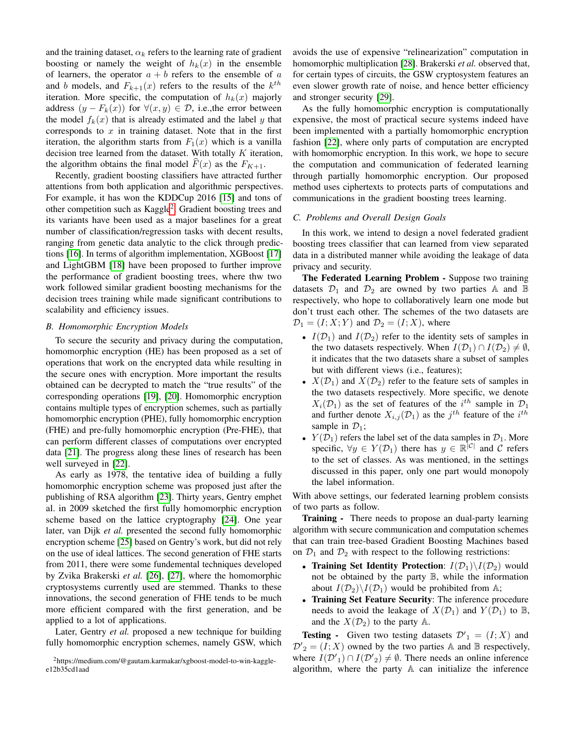and the training dataset,  $\alpha_k$  refers to the learning rate of gradient boosting or namely the weight of  $h_k(x)$  in the ensemble of learners, the operator  $a + b$  refers to the ensemble of a and b models, and  $F_{k+1}(x)$  refers to the results of the  $k^{th}$ iteration. More specific, the computation of  $h_k(x)$  majorly address  $(y - F_k(x))$  for  $\forall (x, y) \in \mathcal{D}$ , i.e., the error between the model  $f_k(x)$  that is already estimated and the label y that corresponds to  $x$  in training dataset. Note that in the first iteration, the algorithm starts from  $F_1(x)$  which is a vanilla decision tree learned from the dataset. With totally  $K$  iteration, the algorithm obtains the final model  $\widehat{F}(x)$  as the  $F_{K+1}$ .

Recently, gradient boosting classifiers have attracted further attentions from both application and algorithmic perspectives. For example, it has won the KDDCup 2016 [\[15\]](#page-9-12) and tons of other competition such as Kaggle<sup>[2](#page-2-0)</sup>. Gradient boosting trees and its variants have been used as a major baselines for a great number of classification/regression tasks with decent results, ranging from genetic data analytic to the click through predictions [\[16\]](#page-9-13). In terms of algorithm implementation, XGBoost [\[17\]](#page-9-14) and LightGBM [\[18\]](#page-9-15) have been proposed to further improve the performance of gradient boosting trees, where thw two work followed similar gradient boosting mechanisms for the decision trees training while made significant contributions to scalability and efficiency issues.

## *B. Homomorphic Encryption Models*

To secure the security and privacy during the computation, homomorphic encryption (HE) has been proposed as a set of operations that work on the encrypted data while resulting in the secure ones with encryption. More important the results obtained can be decrypted to match the "true results" of the corresponding operations [\[19\]](#page-9-16), [\[20\]](#page-9-17). Homomorphic encryption contains multiple types of encryption schemes, such as partially homomorphic encryption (PHE), fully homomorphic encryption (FHE) and pre-fully homomorphic encryption (Pre-FHE), that can perform different classes of computations over encrypted data [\[21\]](#page-9-18). The progress along these lines of research has been well surveyed in [\[22\]](#page-9-19).

As early as 1978, the tentative idea of building a fully homomorphic encryption scheme was proposed just after the publishing of RSA algorithm [\[23\]](#page-9-20). Thirty years, Gentry emphet al. in 2009 sketched the first fully homomorphic encryption scheme based on the lattice cryptography [\[24\]](#page-9-21). One year later, van Dijk *et al.* presented the second fully homomorphic encryption scheme [\[25\]](#page-9-22) based on Gentry's work, but did not rely on the use of ideal lattices. The second generation of FHE starts from 2011, there were some fundemental techniques developed by Zvika Brakerski *et al.* [\[26\]](#page-9-23), [\[27\]](#page-9-24), where the homomorphic cryptosystems currently used are stemmed. Thanks to these innovations, the second generation of FHE tends to be much more efficient compared with the first generation, and be applied to a lot of applications.

Later, Gentry *et al.* proposed a new technique for building fully homomorphic encryption schemes, namely GSW, which

avoids the use of expensive "relinearization" computation in homomorphic multiplication [\[28\]](#page-9-25). Brakerski *et al.* observed that, for certain types of circuits, the GSW cryptosystem features an even slower growth rate of noise, and hence better efficiency and stronger security [\[29\]](#page-9-26).

As the fully homomorphic encryption is computationally expensive, the most of practical secure systems indeed have been implemented with a partially homomorphic encryption fashion [\[22\]](#page-9-19), where only parts of computation are encrypted with homomorphic encryption. In this work, we hope to secure the computation and communication of federated learning through partially homomorphic encryption. Our proposed method uses ciphertexts to protects parts of computations and communications in the gradient boosting trees learning.

## *C. Problems and Overall Design Goals*

In this work, we intend to design a novel federated gradient boosting trees classifier that can learned from view separated data in a distributed manner while avoiding the leakage of data privacy and security.

The Federated Learning Problem - Suppose two training datasets  $\mathcal{D}_1$  and  $\mathcal{D}_2$  are owned by two parties A and B respectively, who hope to collaboratively learn one mode but don't trust each other. The schemes of the two datasets are  $\mathcal{D}_1 = (I; X; Y)$  and  $\mathcal{D}_2 = (I; X)$ , where

- $I(\mathcal{D}_1)$  and  $I(\mathcal{D}_2)$  refer to the identity sets of samples in the two datasets respectively. When  $I(\mathcal{D}_1) \cap I(\mathcal{D}_2) \neq \emptyset$ , it indicates that the two datasets share a subset of samples but with different views (i.e., features);
- $X(D_1)$  and  $X(D_2)$  refer to the feature sets of samples in the two datasets respectively. More specific, we denote  $X_i(\mathcal{D}_1)$  as the set of features of the  $i^{th}$  sample in  $\mathcal{D}_1$ and further denote  $X_{i,j}(\mathcal{D}_1)$  as the  $j^{th}$  feature of the  $i^{th}$ sample in  $\mathcal{D}_1$ ;
- $Y(\mathcal{D}_1)$  refers the label set of the data samples in  $\mathcal{D}_1$ . More specific,  $\forall y \in Y(\mathcal{D}_1)$  there has  $y \in \mathbb{R}^{|\mathcal{C}|}$  and  $\mathcal{C}$  refers to the set of classes. As was mentioned, in the settings discussed in this paper, only one part would monopoly the label information.

With above settings, our federated learning problem consists of two parts as follow.

Training - There needs to propose an dual-party learning algorithm with secure communication and computation schemes that can train tree-based Gradient Boosting Machines based on  $\mathcal{D}_1$  and  $\mathcal{D}_2$  with respect to the following restrictions:

- Training Set Identity Protection:  $I(\mathcal{D}_1)\backslash I(\mathcal{D}_2)$  would not be obtained by the party B, while the information about  $I(\mathcal{D}_2)\backslash I(\mathcal{D}_1)$  would be prohibited from A;
- Training Set Feature Security: The inference procedure needs to avoid the leakage of  $X(\mathcal{D}_1)$  and  $Y(\mathcal{D}_1)$  to  $\mathbb{B}$ , and the  $X(\mathcal{D}_2)$  to the party A.

**Testing** - Given two testing datasets  $\mathcal{D}'_1 = (I; X)$  and  $\mathcal{D}'_2 = (I; X)$  owned by the two parties A and B respectively, where  $I(\mathcal{D}'_1) \cap I(\mathcal{D}'_2) \neq \emptyset$ . There needs an online inference algorithm, where the party A can initialize the inference

<span id="page-2-0"></span><sup>2</sup>https://medium.com/@gautam.karmakar/xgboost-model-to-win-kagglee12b35cd1aad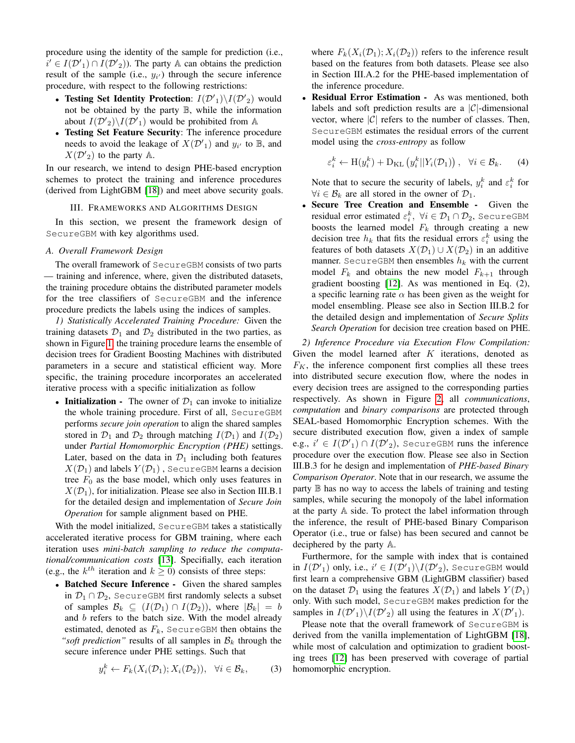procedure using the identity of the sample for prediction (i.e.,  $i' \in I(\mathcal{D}'_1) \cap I(\mathcal{D}'_2)$ ). The party A can obtains the prediction result of the sample (i.e.,  $y_{i'}$ ) through the secure inference procedure, with respect to the following restrictions:

- Testing Set Identity Protection:  $I(\mathcal{D}'_1)\backslash I(\mathcal{D}'_2)$  would not be obtained by the party B, while the information about  $I(\mathcal{D}'_2)\backslash I(\mathcal{D}'_1)$  would be prohibited from A
- Testing Set Feature Security: The inference procedure needs to avoid the leakage of  $X(\mathcal{D}'_1)$  and  $y_{i'}$  to  $\mathbb{B}$ , and  $X(\mathcal{D}'_2)$  to the party  $\mathbb{A}$ .

In our research, we intend to design PHE-based encryption schemes to protect the training and inference procedures (derived from LightGBM [\[18\]](#page-9-15)) and meet above security goals.

### III. FRAMEWORKS AND ALGORITHMS DESIGN

In this section, we present the framework design of SecureGBM with key algorithms used.

#### *A. Overall Framework Design*

The overall framework of SecureGBM consists of two parts — training and inference, where, given the distributed datasets, the training procedure obtains the distributed parameter models for the tree classifiers of SecureGBM and the inference procedure predicts the labels using the indices of samples.

*1) Statistically Accelerated Training Procedure:* Given the training datasets  $\mathcal{D}_1$  and  $\mathcal{D}_2$  distributed in the two parties, as shown in Figure [1,](#page-4-0) the training procedure learns the ensemble of decision trees for Gradient Boosting Machines with distributed parameters in a secure and statistical efficient way. More specific, the training procedure incorporates an accelerated iterative process with a specific initialization as follow

• Initialization - The owner of  $\mathcal{D}_1$  can invoke to initialize the whole training procedure. First of all, SecureGBM performs *secure join operation* to align the shared samples stored in  $\mathcal{D}_1$  and  $\mathcal{D}_2$  through matching  $I(\mathcal{D}_1)$  and  $I(\mathcal{D}_2)$ under *Partial Homomorphic Encryption (PHE)* settings. Later, based on the data in  $\mathcal{D}_1$  including both features  $X(\mathcal{D}_1)$  and labels  $Y(\mathcal{D}_1)$ , SecureGBM learns a decision tree  $F_0$  as the base model, which only uses features in  $X(\mathcal{D}_1)$ , for initialization. Please see also in Section III.B.1 for the detailed design and implementation of *Secure Join Operation* for sample alignment based on PHE.

With the model initialized, SecureGBM takes a statistically accelerated iterative process for GBM training, where each iteration uses *mini-batch sampling to reduce the computational/communication costs* [\[13\]](#page-9-10). Specifially, each iteration (e.g., the  $k^{th}$  iteration and  $k \ge 0$ ) consists of three steps:

• Batched Secure Inference - Given the shared samples in  $\mathcal{D}_1 \cap \mathcal{D}_2$ , SecureGBM first randomly selects a subset of samples  $\mathcal{B}_k \subseteq (I(\mathcal{D}_1) \cap I(\mathcal{D}_2))$ , where  $|\mathcal{B}_k| = b$ and b refers to the batch size. With the model already estimated, denoted as  $F_k$ , SecureGBM then obtains the *"soft prediction"* results of all samples in  $B_k$  through the secure inference under PHE settings. Such that

$$
y_i^k \leftarrow F_k(X_i(\mathcal{D}_1); X_i(\mathcal{D}_2)), \quad \forall i \in \mathcal{B}_k,
$$
 (3)

where  $F_k(X_i(\mathcal{D}_1); X_i(\mathcal{D}_2))$  refers to the inference result based on the features from both datasets. Please see also in Section III.A.2 for the PHE-based implementation of the inference procedure.

Residual Error Estimation - As was mentioned, both labels and soft prediction results are a  $|\mathcal{C}|$ -dimensional vector, where  $|\mathcal{C}|$  refers to the number of classes. Then, SecureGBM estimates the residual errors of the current model using the *cross-entropy* as follow

$$
\varepsilon_i^k \leftarrow \mathcal{H}(y_i^k) + \mathcal{D}_{\mathcal{KL}}\left(y_i^k||Y_i(\mathcal{D}_1)\right), \quad \forall i \in \mathcal{B}_k. \tag{4}
$$

Note that to secure the security of labels,  $y_i^k$  and  $\varepsilon_i^k$  for  $\forall i \in \mathcal{B}_k$  are all stored in the owner of  $\mathcal{D}_1$ .

• Secure Tree Creation and Ensemble - Given the residual error estimated  $\varepsilon_i^k, \; \forall i \in \mathcal{D}_1 \cap \mathcal{D}_2,$  SecureGBM boosts the learned model  $F_k$  through creating a new decision tree  $h_k$  that fits the residual errors  $\varepsilon_i^k$  using the features of both datasets  $X(\mathcal{D}_1) \cup X(\mathcal{D}_2)$  in an additive manner. SecureGBM then ensembles  $h_k$  with the current model  $F_k$  and obtains the new model  $F_{k+1}$  through gradient boosting [\[12\]](#page-9-9). As was mentioned in Eq. (2), a specific learning rate  $\alpha$  has been given as the weight for model ensembling. Please see also in Section III.B.2 for the detailed design and implementation of *Secure Splits Search Operation* for decision tree creation based on PHE.

*2) Inference Procedure via Execution Flow Compilation:* Given the model learned after  $K$  iterations, denoted as  $F_K$ , the inference component first complies all these trees into distributed secure execution flow, where the nodes in every decision trees are assigned to the corresponding parties respectively. As shown in Figure [2,](#page-4-1) all *communications*, *computation* and *binary comparisons* are protected through SEAL-based Homomorphic Encryption schemes. With the secure distributed execution flow, given a index of sample e.g.,  $i' \in I(\mathcal{D'}_1) \cap I(\mathcal{D'}_2)$ , SecureGBM runs the inference procedure over the execution flow. Please see also in Section III.B.3 for he design and implementation of *PHE-based Binary Comparison Operator*. Note that in our research, we assume the party  $\mathbb B$  has no way to access the labels of training and testing samples, while securing the monopoly of the label information at the party A side. To protect the label information through the inference, the result of PHE-based Binary Comparison Operator (i.e., true or false) has been secured and cannot be deciphered by the party A.

Furthermore, for the sample with index that is contained in  $I(\mathcal{D'}_1)$  only, i.e.,  $i' \in I(\mathcal{D'}_1)\backslash I(\mathcal{D'}_2)$ , SecureGBM would first learn a comprehensive GBM (LightGBM classifier) based on the dataset  $\mathcal{D}_1$  using the features  $X(\mathcal{D}_1)$  and labels  $Y(\mathcal{D}_1)$ only. With such model, SecureGBM makes prediction for the samples in  $I(D'_1)\backslash I(D'_2)$  all using the features in  $X(D'_1)$ .

Please note that the overall framework of SecureGBM is derived from the vanilla implementation of LightGBM [\[18\]](#page-9-15), while most of calculation and optimization to gradient boosting trees [\[12\]](#page-9-9) has been preserved with coverage of partial homomorphic encryption.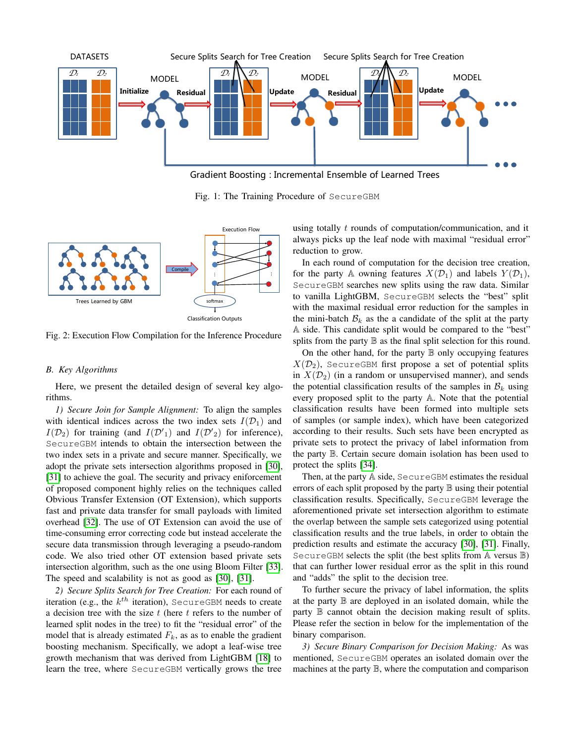<span id="page-4-0"></span>

Gradient Boosting : Incremental Ensemble of Learned Trees

Fig. 1: The Training Procedure of SecureGBM

<span id="page-4-1"></span>

Fig. 2: Execution Flow Compilation for the Inference Procedure

#### *B. Key Algorithms*

Here, we present the detailed design of several key algorithms.

*1) Secure Join for Sample Alignment:* To align the samples with identical indices across the two index sets  $I(\mathcal{D}_1)$  and  $I(\mathcal{D}_2)$  for training (and  $I(\mathcal{D'}_1)$  and  $I(\mathcal{D'}_2)$  for inference), SecureGBM intends to obtain the intersection between the two index sets in a private and secure manner. Specifically, we adopt the private sets intersection algorithms proposed in [\[30\]](#page-9-27), [\[31\]](#page-9-28) to achieve the goal. The security and privacy eniforcement of proposed component highly relies on the techniques called Obvious Transfer Extension (OT Extension), which supports fast and private data transfer for small payloads with limited overhead [\[32\]](#page-9-29). The use of OT Extension can avoid the use of time-consuming error correcting code but instead accelerate the secure data transmission through leveraging a pseudo-random code. We also tried other OT extension based private sets intersection algorithm, such as the one using Bloom Filter [\[33\]](#page-9-30). The speed and scalability is not as good as [\[30\]](#page-9-27), [\[31\]](#page-9-28).

*2) Secure Splits Search for Tree Creation:* For each round of iteration (e.g., the  $k^{th}$  iteration), SecureGBM needs to create a decision tree with the size  $t$  (here  $t$  refers to the number of learned split nodes in the tree) to fit the "residual error" of the model that is already estimated  $F_k$ , as as to enable the gradient boosting mechanism. Specifically, we adopt a leaf-wise tree growth mechanism that was derived from LightGBM [\[18\]](#page-9-15) to learn the tree, where SecureGBM vertically grows the tree

using totally t rounds of computation/communication, and it always picks up the leaf node with maximal "residual error" reduction to grow.

In each round of computation for the decision tree creation, for the party A owning features  $X(\mathcal{D}_1)$  and labels  $Y(\mathcal{D}_1)$ , SecureGBM searches new splits using the raw data. Similar to vanilla LightGBM, SecureGBM selects the "best" split with the maximal residual error reduction for the samples in the mini-batch  $\mathcal{B}_k$  as the a candidate of the split at the party A side. This candidate split would be compared to the "best" splits from the party  $\mathbb B$  as the final split selection for this round.

On the other hand, for the party  $\mathbb B$  only occupying features  $X(\mathcal{D}_2)$ , SecureGBM first propose a set of potential splits in  $X(\mathcal{D}_2)$  (in a random or unsupervised manner), and sends the potential classification results of the samples in  $B_k$  using every proposed split to the party A. Note that the potential classification results have been formed into multiple sets of samples (or sample index), which have been categorized according to their results. Such sets have been encrypted as private sets to protect the privacy of label information from the party B. Certain secure domain isolation has been used to protect the splits [\[34\]](#page-9-31).

Then, at the party A side, SecureGBM estimates the residual errors of each split proposed by the party  $\mathbb B$  using their potential classification results. Specifically, SecureGBM leverage the aforementioned private set intersection algorithm to estimate the overlap between the sample sets categorized using potential classification results and the true labels, in order to obtain the prediction results and estimate the accuracy [\[30\]](#page-9-27), [\[31\]](#page-9-28). Finally, SecureGBM selects the split (the best splits from A versus B) that can further lower residual error as the split in this round and "adds" the split to the decision tree.

To further secure the privacy of label information, the splits at the party B are deployed in an isolated domain, while the party B cannot obtain the decision making result of splits. Please refer the section in below for the implementation of the binary comparison.

*3) Secure Binary Comparison for Decision Making:* As was mentioned, SecureGBM operates an isolated domain over the machines at the party B, where the computation and comparison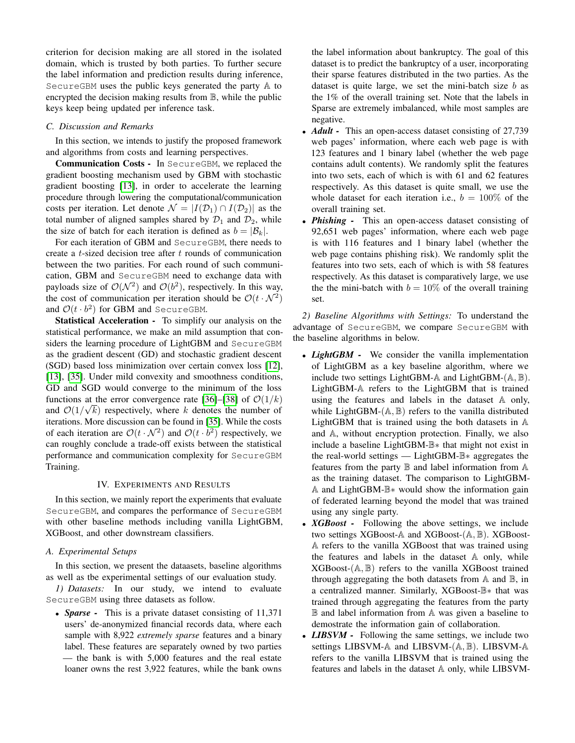criterion for decision making are all stored in the isolated domain, which is trusted by both parties. To further secure the label information and prediction results during inference, SecureGBM uses the public keys generated the party A to encrypted the decision making results from B, while the public keys keep being updated per inference task.

## *C. Discussion and Remarks*

In this section, we intends to justify the proposed framework and algorithms from costs and learning perspectives.

Communication Costs - In SecureGBM, we replaced the gradient boosting mechanism used by GBM with stochastic gradient boosting [\[13\]](#page-9-10), in order to accelerate the learning procedure through lowering the computational/communication costs per iteration. Let denote  $\mathcal{N} = |I(\mathcal{D}_1) \cap I(\mathcal{D}_2)|$  as the total number of aligned samples shared by  $\mathcal{D}_1$  and  $\mathcal{D}_2$ , while the size of batch for each iteration is defined as  $b = |\mathcal{B}_k|$ .

For each iteration of GBM and SecureGBM, there needs to create a  $t$ -sized decision tree after  $t$  rounds of communication between the two parities. For each round of such communication, GBM and SecureGBM need to exchange data with payloads size of  $\mathcal{O}(\mathcal{N}^2)$  and  $\mathcal{O}(b^2)$ , respectively. In this way, the cost of communication per iteration should be  $\mathcal{O}(t \cdot \mathcal{N}^2)$ and  $\mathcal{O}(t \cdot b^2)$  for GBM and SecureGBM.

Statistical Acceleration - To simplify our analysis on the statistical performance, we make an mild assumption that considers the learning procedure of LightGBM and SecureGBM as the gradient descent (GD) and stochastic gradient descent (SGD) based loss minimization over certain convex loss [\[12\]](#page-9-9), [\[13\]](#page-9-10), [\[35\]](#page-9-32). Under mild convexity and smoothness conditions, GD and SGD would converge to the minimum of the loss functions at the error convergence rate [\[36\]](#page-9-33)–[\[38\]](#page-9-34) of  $\mathcal{O}(1/k)$ and  $\mathcal{O}(1/\sqrt{k})$  respectively, where k denotes the number of iterations. More discussion can be found in [\[35\]](#page-9-32). While the costs of each iteration are  $\mathcal{O}(t \cdot \mathcal{N}^2)$  and  $\mathcal{O}(t \cdot b^2)$  respectively, we can roughly conclude a trade-off exists between the statistical performance and communication complexity for SecureGBM Training.

### IV. EXPERIMENTS AND RESULTS

In this section, we mainly report the experiments that evaluate SecureGBM, and compares the performance of SecureGBM with other baseline methods including vanilla LightGBM, XGBoost, and other downstream classifiers.

### *A. Experimental Setups*

In this section, we present the dataasets, baseline algorithms as well as tbe experimental settings of our evaluation study.

*1) Datasets:* In our study, we intend to evaluate SecureGBM using three datasets as follow.

• *Sparse* - This is a private dataset consisting of 11,371 users' de-anonymized financial records data, where each sample with 8,922 *extremely sparse* features and a binary label. These features are separately owned by two parties — the bank is with 5,000 features and the real estate loaner owns the rest 3,922 features, while the bank owns the label information about bankruptcy. The goal of this dataset is to predict the bankruptcy of a user, incorporating their sparse features distributed in the two parties. As the dataset is quite large, we set the mini-batch size  $b$  as the 1% of the overall training set. Note that the labels in Sparse are extremely imbalanced, while most samples are negative.

- *Adult* This an open-access dataset consisting of 27,739 web pages' information, where each web page is with 123 features and 1 binary label (whether the web page contains adult contents). We randomly split the features into two sets, each of which is with 61 and 62 features respectively. As this dataset is quite small, we use the whole dataset for each iteration i.e.,  $b = 100\%$  of the overall training set.
- *Phishing* This an open-access dataset consisting of 92,651 web pages' information, where each web page is with 116 features and 1 binary label (whether the web page contains phishing risk). We randomly split the features into two sets, each of which is with 58 features respectively. As this dataset is comparatively large, we use the the mini-batch with  $b = 10\%$  of the overall training set.

*2) Baseline Algorithms with Settings:* To understand the advantage of SecureGBM, we compare SecureGBM with the baseline algorithms in below.

- *LightGBM* We consider the vanilla implementation of LightGBM as a key baseline algorithm, where we include two settings LightGBM- $\mathbb A$  and LightGBM- $(\mathbb A, \mathbb B)$ . LightGBM-A refers to the LightGBM that is trained using the features and labels in the dataset A only, while LightGBM- $(A, B)$  refers to the vanilla distributed LightGBM that is trained using the both datasets in A and A, without encryption protection. Finally, we also include a baseline LightGBM-B∗ that might not exist in the real-world settings — LightGBM-B∗ aggregates the features from the party  $\mathbb B$  and label information from  $\mathbb A$ as the training dataset. The comparison to LightGBM-A and LightGBM-B∗ would show the information gain of federated learning beyond the model that was trained using any single party.
- *XGBoost -* Following the above settings, we include two settings XGBoost-A and XGBoost-(A, B). XGBoost-A refers to the vanilla XGBoost that was trained using the features and labels in the dataset A only, while  $XGBoost-(A, B)$  refers to the vanilla XGBoost trained through aggregating the both datasets from  $A$  and  $B$ , in a centralized manner. Similarly, XGBoost-B∗ that was trained through aggregating the features from the party B and label information from A was given a baseline to demostrate the information gain of collaboration.
- *LIBSVM* Following the same settings, we include two settings LIBSVM-A and LIBSVM-(A, B). LIBSVM-A refers to the vanilla LIBSVM that is trained using the features and labels in the dataset A only, while LIBSVM-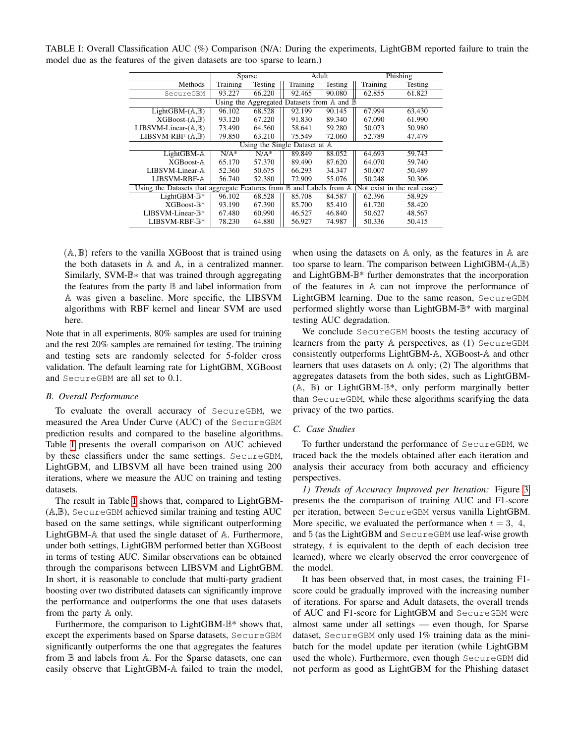|                                                                                                     | <b>Sparse</b> |         | Adult    |         | Phishing |         |  |  |  |  |
|-----------------------------------------------------------------------------------------------------|---------------|---------|----------|---------|----------|---------|--|--|--|--|
| Methods                                                                                             | Training      | Testing | Training | Testing | Training | Testing |  |  |  |  |
| SecureGBM                                                                                           | 93.227        | 66.220  | 92.465   | 90.080  | 62.855   | 61.823  |  |  |  |  |
| Using the Aggregated Datasets from $A$ and $B$                                                      |               |         |          |         |          |         |  |  |  |  |
| LightGBM- $(A, B)$                                                                                  | 96.102        | 68.528  | 92.199   | 90.145  | 67.994   | 63.430  |  |  |  |  |
| $XGB$ oost- $(A,B)$                                                                                 | 93.120        | 67.220  | 91.830   | 89.340  | 67.090   | 61.990  |  |  |  |  |
| $LIBSVM-Linear-(A,B)$                                                                               | 73.490        | 64.560  | 58.641   | 59.280  | 50.073   | 50.980  |  |  |  |  |
| $LIBSVM-RBF-(A,B)$                                                                                  | 79.850        | 63.210  | 75.549   | 72.060  | 52.789   | 47.479  |  |  |  |  |
| Using the Single Dataset at $A$                                                                     |               |         |          |         |          |         |  |  |  |  |
| LightGBM-A                                                                                          | $N/A^*$       | $N/A^*$ | 89.849   | 88.052  | 64.693   | 59.743  |  |  |  |  |
| $XGBoost-A$                                                                                         | 65.170        | 57.370  | 89.490   | 87.620  | 64.070   | 59.740  |  |  |  |  |
| LIBSVM-Linear-A                                                                                     | 52.360        | 50.675  | 66.293   | 34.347  | 50.007   | 50.489  |  |  |  |  |
| <b>LIBSVM-RBF-A</b>                                                                                 | 56.740        | 52.380  | 72.909   | 55.076  | 50.248   | 50.306  |  |  |  |  |
| Using the Datasets that aggregate Features from B and Labels from A<br>(Not exist in the real case) |               |         |          |         |          |         |  |  |  |  |
| LightGBM- $\mathbb{B}^*$                                                                            | 96.102        | 68.528  | 85.708   | 84.587  | 62.396   | 58.929  |  |  |  |  |
| $XGBoost-R*$                                                                                        | 93.190        | 67.390  | 85.700   | 85.410  | 61.720   | 58.420  |  |  |  |  |
| $LIBSVM-Linear-B*$                                                                                  | 67.480        | 60.990  | 46.527   | 46.840  | 50.627   | 48.567  |  |  |  |  |
| LIBSVM-RBF-B*                                                                                       | 78.230        | 64.880  | 56.927   | 74.987  | 50.336   | 50.415  |  |  |  |  |

<span id="page-6-0"></span>TABLE I: Overall Classification AUC (%) Comparison (N/A: During the experiments, LightGBM reported failure to train the model due as the features of the given datasets are too sparse to learn.)

 $(A, B)$  refers to the vanilla XGBoost that is trained using the both datasets in A and A, in a centralized manner. Similarly, SVM-B∗ that was trained through aggregating the features from the party  $\mathbb B$  and label information from A was given a baseline. More specific, the LIBSVM algorithms with RBF kernel and linear SVM are used here.

Note that in all experiments, 80% samples are used for training and the rest 20% samples are remained for testing. The training and testing sets are randomly selected for 5-folder cross validation. The default learning rate for LightGBM, XGBoost and SecureGBM are all set to 0.1.

## *B. Overall Performance*

To evaluate the overall accuracy of SecureGBM, we measured the Area Under Curve (AUC) of the SecureGBM prediction results and compared to the baseline algorithms. Table [I](#page-6-0) presents the overall comparison on AUC achieved by these classifiers under the same settings. SecureGBM, LightGBM, and LIBSVM all have been trained using 200 iterations, where we measure the AUC on training and testing datasets.

The result in Table [I](#page-6-0) shows that, compared to LightGBM- (A,B), SecureGBM achieved similar training and testing AUC based on the same settings, while significant outperforming LightGBM-A that used the single dataset of A. Furthermore, under both settings, LightGBM performed better than XGBoost in terms of testing AUC. Similar observations can be obtained through the comparisons between LIBSVM and LightGBM. In short, it is reasonable to conclude that multi-party gradient boosting over two distributed datasets can significantly improve the performance and outperforms the one that uses datasets from the party A only.

Furthermore, the comparison to LightGBM-B\* shows that, except the experiments based on Sparse datasets, SecureGBM significantly outperforms the one that aggregates the features from B and labels from A. For the Sparse datasets, one can easily observe that LightGBM-A failed to train the model, when using the datasets on A only, as the features in A are too sparse to learn. The comparison between LightGBM-(A,B) and LightGBM-B\* further demonstrates that the incorporation of the features in A can not improve the performance of LightGBM learning. Due to the same reason, SecureGBM performed slightly worse than LightGBM-B\* with marginal testing AUC degradation.

We conclude SecureGBM boosts the testing accuracy of learners from the party A perspectives, as (1) SecureGBM consistently outperforms LightGBM-A, XGBoost-A and other learners that uses datasets on A only; (2) The algorithms that aggregates datasets from the both sides, such as LightGBM- (A, B) or LightGBM-B\*, only perform marginally better than SecureGBM, while these algorithms scarifying the data privacy of the two parties.

#### *C. Case Studies*

To further understand the performance of SecureGBM, we traced back the the models obtained after each iteration and analysis their accuracy from both accuracy and efficiency perspectives.

*1) Trends of Accuracy Improved per Iteration:* Figure [3](#page-7-0) presents the the comparison of training AUC and F1-score per iteration, between SecureGBM versus vanilla LightGBM. More specific, we evaluated the performance when  $t = 3, 4,$ and 5 (as the LightGBM and SecureGBM use leaf-wise growth strategy,  $t$  is equivalent to the depth of each decision tree learned), where we clearly observed the error convergence of the model.

It has been observed that, in most cases, the training F1 score could be gradually improved with the increasing number of iterations. For sparse and Adult datasets, the overall trends of AUC and F1-score for LightGBM and SecureGBM were almost same under all settings — even though, for Sparse dataset, SecureGBM only used 1% training data as the minibatch for the model update per iteration (while LightGBM used the whole). Furthermore, even though SecureGBM did not perform as good as LightGBM for the Phishing dataset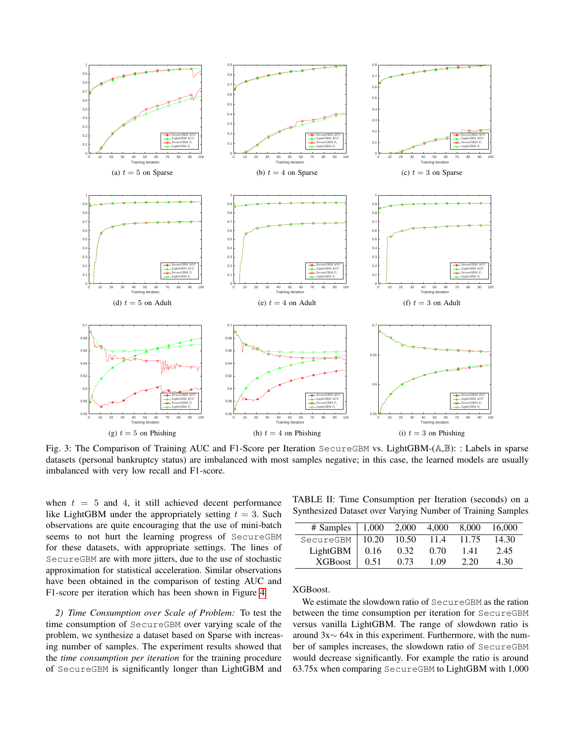<span id="page-7-0"></span>

Fig. 3: The Comparison of Training AUC and F1-Score per Iteration SecureGBM vs. LightGBM-(A,B): : Labels in sparse datasets (personal bankruptcy status) are imbalanced with most samples negative; in this case, the learned models are usually imbalanced with very low recall and F1-score.

when  $t = 5$  and 4, it still achieved decent performance like LightGBM under the appropriately setting  $t = 3$ . Such observations are quite encouraging that the use of mini-batch seems to not hurt the learning progress of SecureGBM for these datasets, with appropriate settings. The lines of SecureGBM are with more jitters, due to the use of stochastic approximation for statistical acceleration. Similar observations have been obtained in the comparison of testing AUC and F1-score per iteration which has been shown in Figure [4.](#page-8-0)

*2) Time Consumption over Scale of Problem:* To test the time consumption of SecureGBM over varying scale of the problem, we synthesize a dataset based on Sparse with increasing number of samples. The experiment results showed that the *time consumption per iteration* for the training procedure of SecureGBM is significantly longer than LightGBM and

TABLE II: Time Consumption per Iteration (seconds) on a Synthesized Dataset over Varying Number of Training Samples

| # Samples      | 1,000 | 2,000 | 4,000 | 8.000 | 16.000 |
|----------------|-------|-------|-------|-------|--------|
| SecureGBM      | 10.20 | 10.50 | 11.4  | 11.75 | 14.30  |
| LightGBM       | 0.16  | 0.32  | 0.70  | 1.41  | 2.45   |
| <b>XGBoost</b> | 0.51  | 0.73  | 1 09  | 2.20  | 4.30   |

XGBoost.

We estimate the slowdown ratio of SecureGBM as the ration between the time consumption per iteration for SecureGBM versus vanilla LightGBM. The range of slowdown ratio is around 3x∼ 64x in this experiment. Furthermore, with the number of samples increases, the slowdown ratio of SecureGBM would decrease significantly. For example the ratio is around 63.75x when comparing SecureGBM to LightGBM with 1,000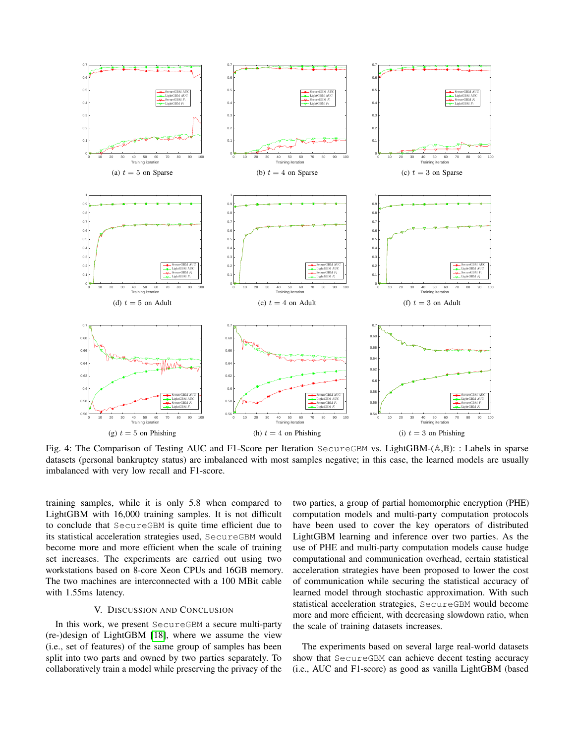<span id="page-8-0"></span>

Fig. 4: The Comparison of Testing AUC and F1-Score per Iteration SecureGBM vs. LightGBM-( $\mathbb{A}, \mathbb{B}$ ): : Labels in sparse datasets (personal bankruptcy status) are imbalanced with most samples negative; in this case, the learned models are usually imbalanced with very low recall and F1-score.

training samples, while it is only 5.8 when compared to LightGBM with 16,000 training samples. It is not difficult to conclude that SecureGBM is quite time efficient due to its statistical acceleration strategies used, SecureGBM would become more and more efficient when the scale of training set increases. The experiments are carried out using two workstations based on 8-core Xeon CPUs and 16GB memory. The two machines are interconnected with a 100 MBit cable with 1.55ms latency.

#### V. DISCUSSION AND CONCLUSION

In this work, we present SecureGBM a secure multi-party (re-)design of LightGBM [\[18\]](#page-9-15), where we assume the view (i.e., set of features) of the same group of samples has been split into two parts and owned by two parties separately. To collaboratively train a model while preserving the privacy of the two parties, a group of partial homomorphic encryption (PHE) computation models and multi-party computation protocols have been used to cover the key operators of distributed LightGBM learning and inference over two parties. As the use of PHE and multi-party computation models cause hudge computational and communication overhead, certain statistical acceleration strategies have been proposed to lower the cost of communication while securing the statistical accuracy of learned model through stochastic approximation. With such statistical acceleration strategies, SecureGBM would become more and more efficient, with decreasing slowdown ratio, when the scale of training datasets increases.

The experiments based on several large real-world datasets show that SecureGBM can achieve decent testing accuracy (i.e., AUC and F1-score) as good as vanilla LightGBM (based